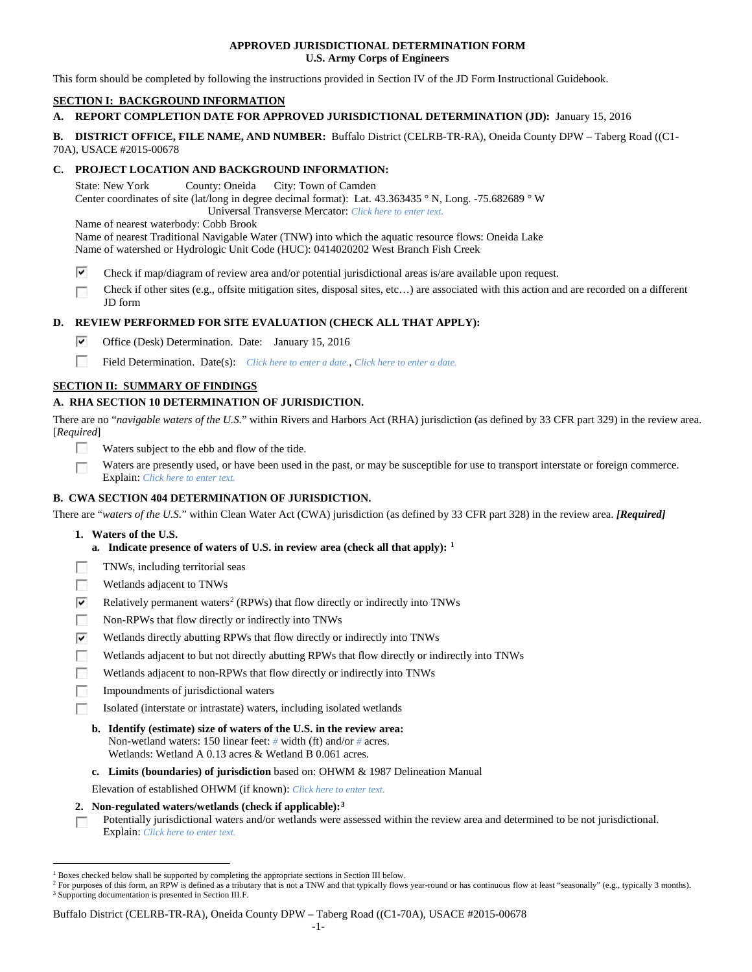### **APPROVED JURISDICTIONAL DETERMINATION FORM U.S. Army Corps of Engineers**

This form should be completed by following the instructions provided in Section IV of the JD Form Instructional Guidebook.

# **SECTION I: BACKGROUND INFORMATION**

# **A. REPORT COMPLETION DATE FOR APPROVED JURISDICTIONAL DETERMINATION (JD):** January 15, 2016

**B. DISTRICT OFFICE, FILE NAME, AND NUMBER:** Buffalo District (CELRB-TR-RA), Oneida County DPW – Taberg Road ((C1- 70A), USACE #2015-00678

### **C. PROJECT LOCATION AND BACKGROUND INFORMATION:**

State: New York County: Oneida City: Town of Camden Center coordinates of site (lat/long in degree decimal format): Lat. 43.363435 ° N, Long. -75.682689 ° W Universal Transverse Mercator: *Click here to enter text.*

Name of nearest waterbody: Cobb Brook

Name of nearest Traditional Navigable Water (TNW) into which the aquatic resource flows: Oneida Lake Name of watershed or Hydrologic Unit Code (HUC): 0414020202 West Branch Fish Creek

- ⊽ Check if map/diagram of review area and/or potential jurisdictional areas is/are available upon request.
- Check if other sites (e.g., offsite mitigation sites, disposal sites, etc…) are associated with this action and are recorded on a different JD form

# **D. REVIEW PERFORMED FOR SITE EVALUATION (CHECK ALL THAT APPLY):**

- ⊽ Office (Desk) Determination. Date: January 15, 2016
- 57 Field Determination. Date(s): *Click here to enter a date.*, *Click here to enter a date.*

# **SECTION II: SUMMARY OF FINDINGS**

# **A. RHA SECTION 10 DETERMINATION OF JURISDICTION.**

There are no "*navigable waters of the U.S.*" within Rivers and Harbors Act (RHA) jurisdiction (as defined by 33 CFR part 329) in the review area. [*Required*]

- **First** Waters subject to the ebb and flow of the tide.
- Waters are presently used, or have been used in the past, or may be susceptible for use to transport interstate or foreign commerce. г Explain: *Click here to enter text.*

# **B. CWA SECTION 404 DETERMINATION OF JURISDICTION.**

There are "*waters of the U.S.*" within Clean Water Act (CWA) jurisdiction (as defined by 33 CFR part 328) in the review area. *[Required]*

- **1. Waters of the U.S.**
	- **a. Indicate presence of waters of U.S. in review area (check all that apply): [1](#page-0-0)**
- TNWs, including territorial seas E
- **R** Wetlands adjacent to TNWs
- $\overline{\mathbf{v}}$ Relatively permanent waters<sup>[2](#page-0-1)</sup> (RPWs) that flow directly or indirectly into TNWs
- $\sim$ Non-RPWs that flow directly or indirectly into TNWs
- ⊽ Wetlands directly abutting RPWs that flow directly or indirectly into TNWs
- Wetlands adjacent to but not directly abutting RPWs that flow directly or indirectly into TNWs
- F Wetlands adjacent to non-RPWs that flow directly or indirectly into TNWs
- 50 Impoundments of jurisdictional waters
	- Isolated (interstate or intrastate) waters, including isolated wetlands
	- **b. Identify (estimate) size of waters of the U.S. in the review area:** Non-wetland waters: 150 linear feet: *#* width (ft) and/or *#* acres. Wetlands: Wetland A 0.13 acres & Wetland B 0.061 acres.
	- **c. Limits (boundaries) of jurisdiction** based on: OHWM & 1987 Delineation Manual
	- Elevation of established OHWM (if known): *Click here to enter text.*
- **2. Non-regulated waters/wetlands (check if applicable):[3](#page-0-2)**
- Potentially jurisdictional waters and/or wetlands were assessed within the review area and determined to be not jurisdictional. П Explain: *Click here to enter text.*

#### Buffalo District (CELRB-TR-RA), Oneida County DPW – Taberg Road ((C1-70A), USACE #2015-00678

<span id="page-0-0"></span> <sup>1</sup> Boxes checked below shall be supported by completing the appropriate sections in Section III below.

<span id="page-0-2"></span><span id="page-0-1"></span><sup>&</sup>lt;sup>2</sup> For purposes of this form, an RPW is defined as a tributary that is not a TNW and that typically flows year-round or has continuous flow at least "seasonally" (e.g., typically 3 months). <sup>3</sup> Supporting documentation is presented in Section III.F.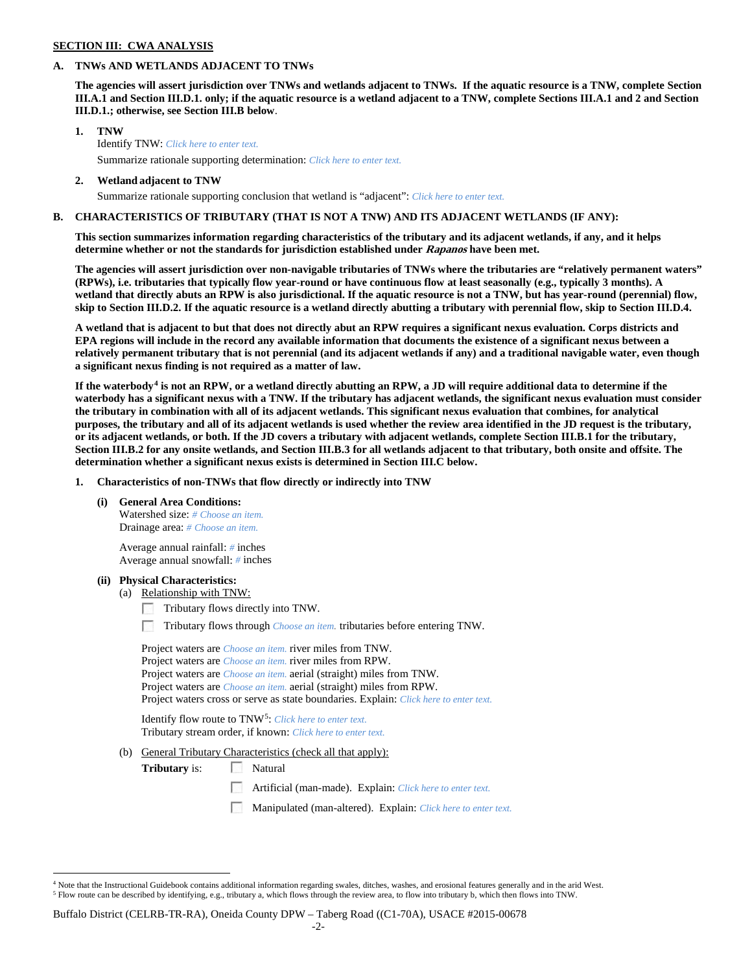### **SECTION III: CWA ANALYSIS**

### **A. TNWs AND WETLANDS ADJACENT TO TNWs**

**The agencies will assert jurisdiction over TNWs and wetlands adjacent to TNWs. If the aquatic resource is a TNW, complete Section III.A.1 and Section III.D.1. only; if the aquatic resource is a wetland adjacent to a TNW, complete Sections III.A.1 and 2 and Section III.D.1.; otherwise, see Section III.B below**.

- **1. TNW**  Identify TNW: *Click here to enter text.*
	- Summarize rationale supporting determination: *Click here to enter text.*
- **2. Wetland adjacent to TNW** Summarize rationale supporting conclusion that wetland is "adjacent": *Click here to enter text.*

### **B. CHARACTERISTICS OF TRIBUTARY (THAT IS NOT A TNW) AND ITS ADJACENT WETLANDS (IF ANY):**

**This section summarizes information regarding characteristics of the tributary and its adjacent wetlands, if any, and it helps determine whether or not the standards for jurisdiction established under Rapanos have been met.** 

**The agencies will assert jurisdiction over non-navigable tributaries of TNWs where the tributaries are "relatively permanent waters" (RPWs), i.e. tributaries that typically flow year-round or have continuous flow at least seasonally (e.g., typically 3 months). A wetland that directly abuts an RPW is also jurisdictional. If the aquatic resource is not a TNW, but has year-round (perennial) flow, skip to Section III.D.2. If the aquatic resource is a wetland directly abutting a tributary with perennial flow, skip to Section III.D.4.**

**A wetland that is adjacent to but that does not directly abut an RPW requires a significant nexus evaluation. Corps districts and EPA regions will include in the record any available information that documents the existence of a significant nexus between a relatively permanent tributary that is not perennial (and its adjacent wetlands if any) and a traditional navigable water, even though a significant nexus finding is not required as a matter of law.**

**If the waterbody[4](#page-1-0) is not an RPW, or a wetland directly abutting an RPW, a JD will require additional data to determine if the waterbody has a significant nexus with a TNW. If the tributary has adjacent wetlands, the significant nexus evaluation must consider the tributary in combination with all of its adjacent wetlands. This significant nexus evaluation that combines, for analytical purposes, the tributary and all of its adjacent wetlands is used whether the review area identified in the JD request is the tributary, or its adjacent wetlands, or both. If the JD covers a tributary with adjacent wetlands, complete Section III.B.1 for the tributary, Section III.B.2 for any onsite wetlands, and Section III.B.3 for all wetlands adjacent to that tributary, both onsite and offsite. The determination whether a significant nexus exists is determined in Section III.C below.**

**1. Characteristics of non-TNWs that flow directly or indirectly into TNW**

**(i) General Area Conditions:**

Watershed size: *# Choose an item.* Drainage area: *# Choose an item.*

Average annual rainfall: *#* inches Average annual snowfall: *#* inches

#### **(ii) Physical Characteristics:**

- (a) Relationship with TNW:
	- Tributary flows directly into TNW.
	- г. Tributary flows through *Choose an item.* tributaries before entering TNW.

Project waters are *Choose an item.* river miles from TNW. Project waters are *Choose an item.* river miles from RPW. Project waters are *Choose an item.* aerial (straight) miles from TNW. Project waters are *Choose an item.* aerial (straight) miles from RPW. Project waters cross or serve as state boundaries. Explain: *Click here to enter text.*

Identify flow route to TNW[5:](#page-1-1) *Click here to enter text.* Tributary stream order, if known: *Click here to enter text.*

(b) General Tributary Characteristics (check all that apply):

**Tributary** is: Natural

- Artificial (man-made). Explain: *Click here to enter text.*
- Manipulated (man-altered). Explain: *Click here to enter text.*

<span id="page-1-1"></span><span id="page-1-0"></span><sup>&</sup>lt;sup>4</sup> Note that the Instructional Guidebook contains additional information regarding swales, ditches, washes, and erosional features generally and in the arid West. <sup>5</sup> Flow route can be described by identifying, e.g., tributary a, which flows through the review area, to flow into tributary b, which then flows into TNW.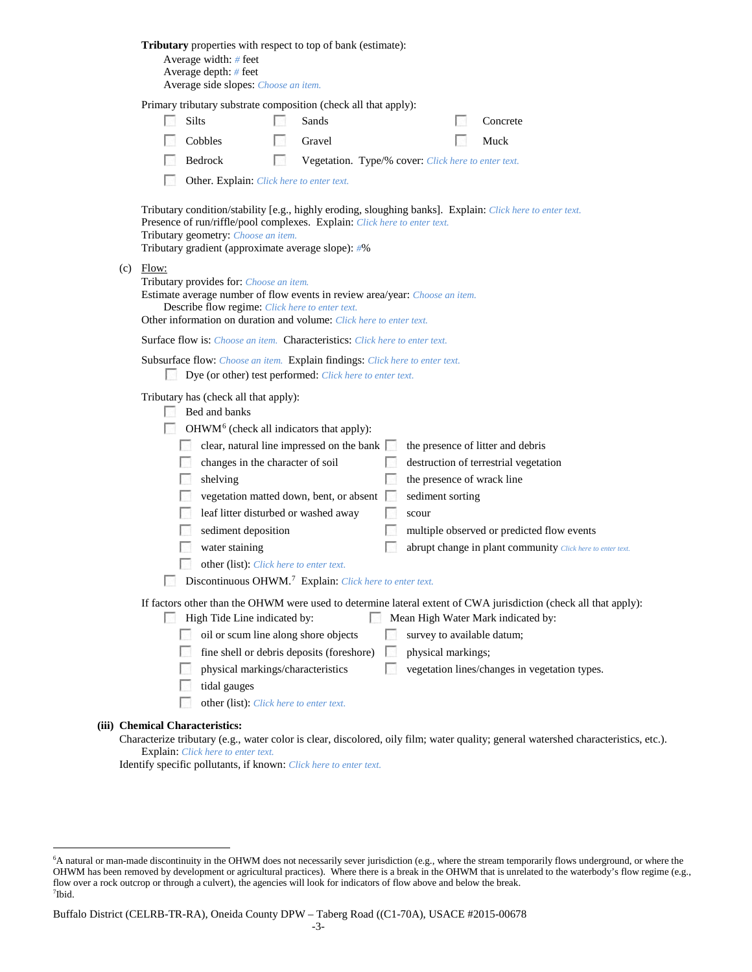|     |             | Tributary properties with respect to top of bank (estimate):<br>Average width: # feet<br>Average depth: $#$ feet<br>Average side slopes: Choose an item.                                                                                                                                                                                                                                                                                                         |    |        |                                                         |                                                                                                                                                                                        |
|-----|-------------|------------------------------------------------------------------------------------------------------------------------------------------------------------------------------------------------------------------------------------------------------------------------------------------------------------------------------------------------------------------------------------------------------------------------------------------------------------------|----|--------|---------------------------------------------------------|----------------------------------------------------------------------------------------------------------------------------------------------------------------------------------------|
|     |             | Primary tributary substrate composition (check all that apply):                                                                                                                                                                                                                                                                                                                                                                                                  |    |        |                                                         |                                                                                                                                                                                        |
|     |             | Silts                                                                                                                                                                                                                                                                                                                                                                                                                                                            |    | Sands  |                                                         | Concrete                                                                                                                                                                               |
|     |             | Cobbles                                                                                                                                                                                                                                                                                                                                                                                                                                                          |    | Gravel |                                                         | Muck                                                                                                                                                                                   |
|     |             | Bedrock                                                                                                                                                                                                                                                                                                                                                                                                                                                          | L. |        | Vegetation. Type/% cover: Click here to enter text.     |                                                                                                                                                                                        |
|     |             | Other. Explain: Click here to enter text.                                                                                                                                                                                                                                                                                                                                                                                                                        |    |        |                                                         |                                                                                                                                                                                        |
|     |             | Presence of run/riffle/pool complexes. Explain: Click here to enter text.<br>Tributary geometry: Choose an item.<br>Tributary gradient (approximate average slope): #%                                                                                                                                                                                                                                                                                           |    |        |                                                         | Tributary condition/stability [e.g., highly eroding, sloughing banks]. Explain: Click here to enter text.                                                                              |
| (c) | Flow:       | Tributary provides for: Choose an item.<br>Estimate average number of flow events in review area/year: Choose an item.<br>Describe flow regime: Click here to enter text.<br>Other information on duration and volume: Click here to enter text.                                                                                                                                                                                                                 |    |        |                                                         |                                                                                                                                                                                        |
|     |             | <b>Surface flow is:</b> <i>Choose an item.</i> <b>Characteristics:</b> <i>Click here to enter text.</i>                                                                                                                                                                                                                                                                                                                                                          |    |        |                                                         |                                                                                                                                                                                        |
|     | <b>Bart</b> | Subsurface flow: Choose an item. Explain findings: Click here to enter text.<br>Dye (or other) test performed: Click here to enter text.                                                                                                                                                                                                                                                                                                                         |    |        |                                                         |                                                                                                                                                                                        |
|     |             | Tributary has (check all that apply):<br>Bed and banks<br>OHWM <sup>6</sup> (check all indicators that apply):<br>clear, natural line impressed on the bank $\Box$<br>changes in the character of soil<br>shelving<br>vegetation matted down, bent, or absent<br>leaf litter disturbed or washed away<br>sediment deposition<br>water staining<br>other (list): Click here to enter text.<br>Discontinuous OHWM. <sup>7</sup> Explain: Click here to enter text. |    |        | the presence of wrack line<br>sediment sorting<br>scour | the presence of litter and debris<br>destruction of terrestrial vegetation<br>multiple observed or predicted flow events<br>abrupt change in plant community Click here to enter text. |
|     |             |                                                                                                                                                                                                                                                                                                                                                                                                                                                                  |    |        |                                                         |                                                                                                                                                                                        |
|     |             | High Tide Line indicated by:                                                                                                                                                                                                                                                                                                                                                                                                                                     |    |        |                                                         | If factors other than the OHWM were used to determine lateral extent of CWA jurisdiction (check all that apply):<br>Mean High Water Mark indicated by:                                 |
|     |             | oil or scum line along shore objects                                                                                                                                                                                                                                                                                                                                                                                                                             |    |        | survey to available datum;                              |                                                                                                                                                                                        |
|     |             | fine shell or debris deposits (foreshore)                                                                                                                                                                                                                                                                                                                                                                                                                        |    |        | physical markings;                                      |                                                                                                                                                                                        |
|     |             | physical markings/characteristics                                                                                                                                                                                                                                                                                                                                                                                                                                |    |        |                                                         | vegetation lines/changes in vegetation types.                                                                                                                                          |
|     |             | tidal gauges                                                                                                                                                                                                                                                                                                                                                                                                                                                     |    |        |                                                         |                                                                                                                                                                                        |
|     |             | other (list): Click here to enter text.                                                                                                                                                                                                                                                                                                                                                                                                                          |    |        |                                                         |                                                                                                                                                                                        |
|     |             | (iii) Chemical Characteristics:                                                                                                                                                                                                                                                                                                                                                                                                                                  |    |        |                                                         |                                                                                                                                                                                        |
|     |             |                                                                                                                                                                                                                                                                                                                                                                                                                                                                  |    |        |                                                         | Characterize tributary (e.g., water color is clear, discolored, oily film; water quality; general watershed characteristics, etc.).                                                    |
|     |             | Explain: Click here to enter text.                                                                                                                                                                                                                                                                                                                                                                                                                               |    |        |                                                         |                                                                                                                                                                                        |

Identify specific pollutants, if known: *Click here to enter text.*

<span id="page-2-1"></span><span id="page-2-0"></span> <sup>6</sup> <sup>6</sup>A natural or man-made discontinuity in the OHWM does not necessarily sever jurisdiction (e.g., where the stream temporarily flows underground, or where the OHWM has been removed by development or agricultural practices). Where there is a break in the OHWM that is unrelated to the waterbody's flow regime (e.g., flow over a rock outcrop or through a culvert), the agencies will look for indicators of flow above and below the break. 7 Ibid.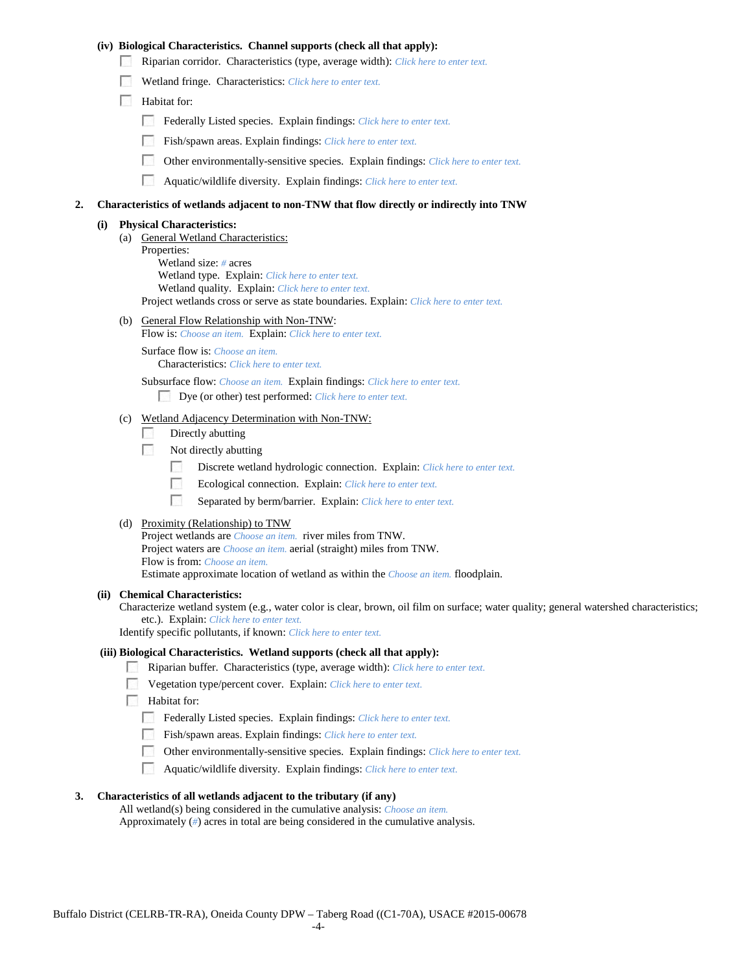### **(iv) Biological Characteristics. Channel supports (check all that apply):**

- Riparian corridor. Characteristics (type, average width): *Click here to enter text.*
- Wetland fringe. Characteristics: *Click here to enter text.*
- Habitat for:
	- Federally Listed species. Explain findings: *Click here to enter text.*
	- Fish/spawn areas. Explain findings: *Click here to enter text.*
	- $\mathcal{L}_{\rm{eff}}$ Other environmentally-sensitive species. Explain findings: *Click here to enter text.*
	- $\mathcal{L}_{\mathcal{S}}$ Aquatic/wildlife diversity. Explain findings: *Click here to enter text.*

#### **2. Characteristics of wetlands adjacent to non-TNW that flow directly or indirectly into TNW**

#### **(i) Physical Characteristics:**

- (a) General Wetland Characteristics: Properties: Wetland size: *#* acres Wetland type. Explain: *Click here to enter text.* Wetland quality. Explain: *Click here to enter text.* Project wetlands cross or serve as state boundaries. Explain: *Click here to enter text.*
- (b) General Flow Relationship with Non-TNW:
	- Flow is: *Choose an item.* Explain: *Click here to enter text.*

Surface flow is: *Choose an item.* Characteristics: *Click here to enter text.*

Subsurface flow: *Choose an item.* Explain findings: *Click here to enter text.*

Dye (or other) test performed: *Click here to enter text.*

# (c) Wetland Adjacency Determination with Non-TNW:

- $\sim$ Directly abutting
- **1999** Not directly abutting
	- $\sim$ Discrete wetland hydrologic connection. Explain: *Click here to enter text.*
	- $\overline{a}$ Ecological connection. Explain: *Click here to enter text.*
	- $\mathcal{L}_{\rm{eff}}$ Separated by berm/barrier. Explain: *Click here to enter text.*
- (d) Proximity (Relationship) to TNW

Project wetlands are *Choose an item.* river miles from TNW. Project waters are *Choose an item.* aerial (straight) miles from TNW. Flow is from: *Choose an item.* Estimate approximate location of wetland as within the *Choose an item.* floodplain.

#### **(ii) Chemical Characteristics:**

Characterize wetland system (e.g., water color is clear, brown, oil film on surface; water quality; general watershed characteristics; etc.). Explain: *Click here to enter text.*

Identify specific pollutants, if known: *Click here to enter text.*

#### **(iii) Biological Characteristics. Wetland supports (check all that apply):**

- Riparian buffer. Characteristics (type, average width): *Click here to enter text.*
- Vegetation type/percent cover. Explain: *Click here to enter text.*
- **Habitat for:** 
	- Federally Listed species. Explain findings: *Click here to enter text.*
	- Fish/spawn areas. Explain findings: *Click here to enter text.*
	- Other environmentally-sensitive species. Explain findings: *Click here to enter text.*
	- Aquatic/wildlife diversity. Explain findings: *Click here to enter text.*

#### **3. Characteristics of all wetlands adjacent to the tributary (if any)**

All wetland(s) being considered in the cumulative analysis: *Choose an item.* Approximately (*#*) acres in total are being considered in the cumulative analysis.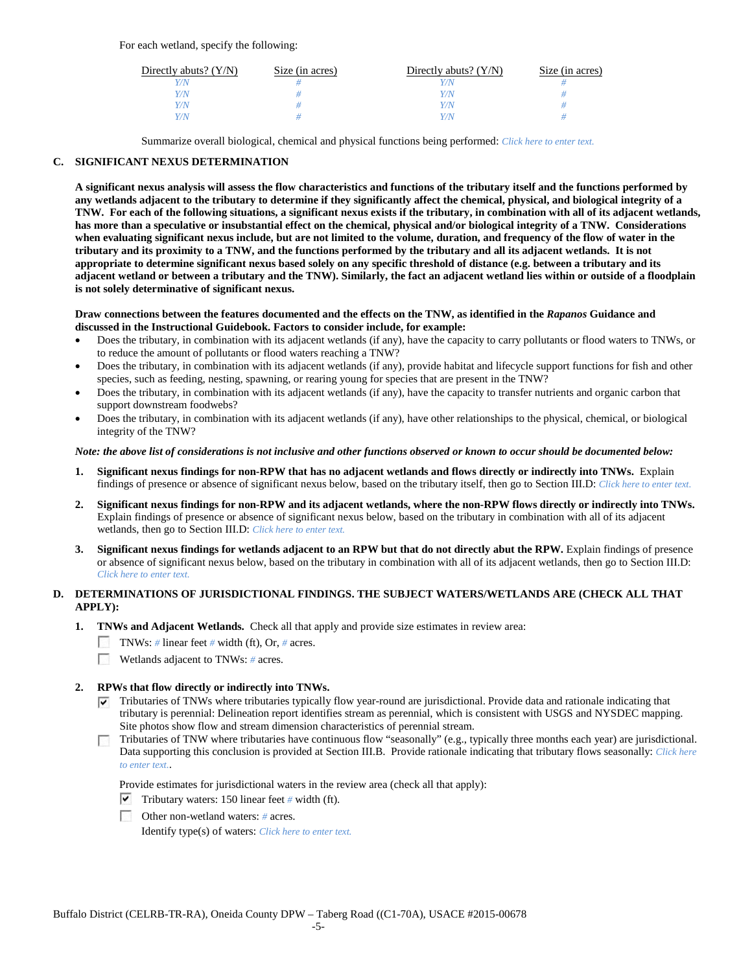For each wetland, specify the following:

| Directly abuts? $(Y/N)$ | Size (in acres) | Directly abuts? $(Y/N)$ | Size (in acres) |
|-------------------------|-----------------|-------------------------|-----------------|
| Y/N                     |                 |                         |                 |
| Y/N                     |                 | Y/N                     |                 |
| Y/N                     |                 | Y/N                     |                 |
| Y/N                     |                 | Y/N                     |                 |

Summarize overall biological, chemical and physical functions being performed: *Click here to enter text.*

### **C. SIGNIFICANT NEXUS DETERMINATION**

**A significant nexus analysis will assess the flow characteristics and functions of the tributary itself and the functions performed by any wetlands adjacent to the tributary to determine if they significantly affect the chemical, physical, and biological integrity of a TNW. For each of the following situations, a significant nexus exists if the tributary, in combination with all of its adjacent wetlands, has more than a speculative or insubstantial effect on the chemical, physical and/or biological integrity of a TNW. Considerations when evaluating significant nexus include, but are not limited to the volume, duration, and frequency of the flow of water in the tributary and its proximity to a TNW, and the functions performed by the tributary and all its adjacent wetlands. It is not appropriate to determine significant nexus based solely on any specific threshold of distance (e.g. between a tributary and its adjacent wetland or between a tributary and the TNW). Similarly, the fact an adjacent wetland lies within or outside of a floodplain is not solely determinative of significant nexus.** 

#### **Draw connections between the features documented and the effects on the TNW, as identified in the** *Rapanos* **Guidance and discussed in the Instructional Guidebook. Factors to consider include, for example:**

- Does the tributary, in combination with its adjacent wetlands (if any), have the capacity to carry pollutants or flood waters to TNWs, or to reduce the amount of pollutants or flood waters reaching a TNW?
- Does the tributary, in combination with its adjacent wetlands (if any), provide habitat and lifecycle support functions for fish and other species, such as feeding, nesting, spawning, or rearing young for species that are present in the TNW?
- Does the tributary, in combination with its adjacent wetlands (if any), have the capacity to transfer nutrients and organic carbon that support downstream foodwebs?
- Does the tributary, in combination with its adjacent wetlands (if any), have other relationships to the physical, chemical, or biological integrity of the TNW?

#### *Note: the above list of considerations is not inclusive and other functions observed or known to occur should be documented below:*

- **1. Significant nexus findings for non-RPW that has no adjacent wetlands and flows directly or indirectly into TNWs.** Explain findings of presence or absence of significant nexus below, based on the tributary itself, then go to Section III.D: *Click here to enter text.*
- **2. Significant nexus findings for non-RPW and its adjacent wetlands, where the non-RPW flows directly or indirectly into TNWs.**  Explain findings of presence or absence of significant nexus below, based on the tributary in combination with all of its adjacent wetlands, then go to Section III.D: *Click here to enter text.*
- **3. Significant nexus findings for wetlands adjacent to an RPW but that do not directly abut the RPW.** Explain findings of presence or absence of significant nexus below, based on the tributary in combination with all of its adjacent wetlands, then go to Section III.D: *Click here to enter text.*

# **D. DETERMINATIONS OF JURISDICTIONAL FINDINGS. THE SUBJECT WATERS/WETLANDS ARE (CHECK ALL THAT APPLY):**

- **1. TNWs and Adjacent Wetlands.** Check all that apply and provide size estimates in review area:
	- TNWs: *#* linear feet *#* width (ft), Or, *#* acres.
	- $\sim$ Wetlands adjacent to TNWs: *#* acres.

# **2. RPWs that flow directly or indirectly into TNWs.**

- $\nabla$  Tributaries of TNWs where tributaries typically flow year-round are jurisdictional. Provide data and rationale indicating that tributary is perennial: Delineation report identifies stream as perennial, which is consistent with USGS and NYSDEC mapping. Site photos show flow and stream dimension characteristics of perennial stream.
- Tributaries of TNW where tributaries have continuous flow "seasonally" (e.g., typically three months each year) are jurisdictional. Data supporting this conclusion is provided at Section III.B. Provide rationale indicating that tributary flows seasonally: *Click here to enter text.*.

Provide estimates for jurisdictional waters in the review area (check all that apply):

- $\triangledown$  Tributary waters: 150 linear feet # width (ft).
- Other non-wetland waters: *#* acres.

Identify type(s) of waters: *Click here to enter text.*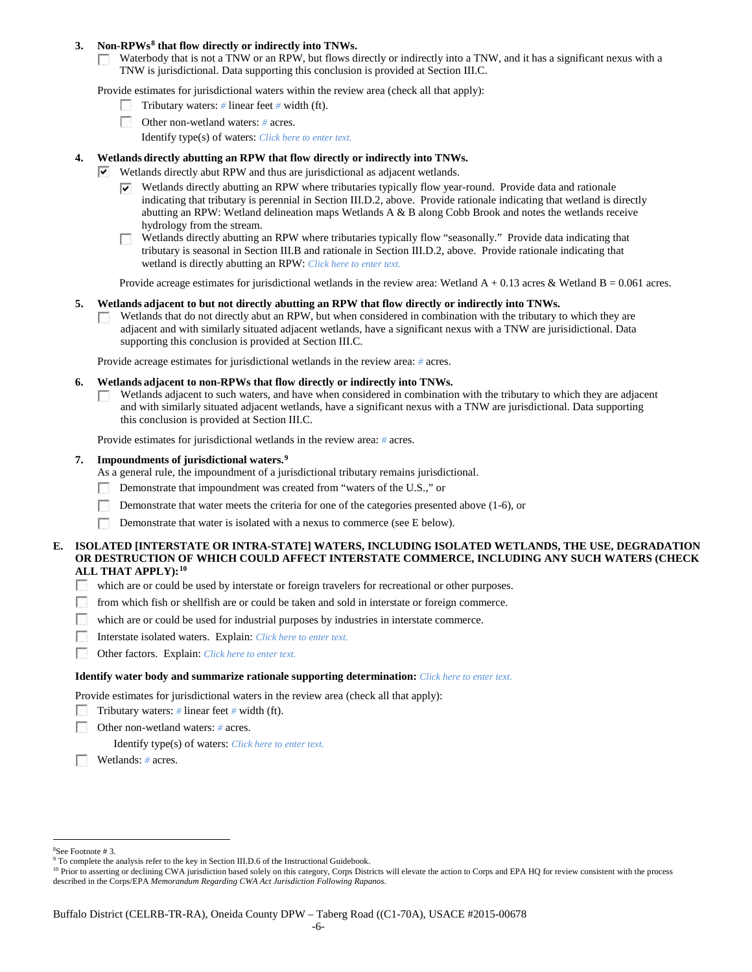### **3. Non-RPWs[8](#page-5-0) that flow directly or indirectly into TNWs.**

Waterbody that is not a TNW or an RPW, but flows directly or indirectly into a TNW, and it has a significant nexus with a **COLLEGE** TNW is jurisdictional. Data supporting this conclusion is provided at Section III.C.

Provide estimates for jurisdictional waters within the review area (check all that apply):

- Tributary waters: *#* linear feet *#* width (ft).
- Other non-wetland waters: *#* acres.
	- Identify type(s) of waters: *Click here to enter text.*

### **4. Wetlands directly abutting an RPW that flow directly or indirectly into TNWs.**

- $\vee$  Wetlands directly abut RPW and thus are jurisdictional as adjacent wetlands.
	- Wetlands directly abutting an RPW where tributaries typically flow year-round. Provide data and rationale indicating that tributary is perennial in Section III.D.2, above. Provide rationale indicating that wetland is directly abutting an RPW: Wetland delineation maps Wetlands A & B along Cobb Brook and notes the wetlands receive hydrology from the stream.
	- Wetlands directly abutting an RPW where tributaries typically flow "seasonally." Provide data indicating that tributary is seasonal in Section III.B and rationale in Section III.D.2, above. Provide rationale indicating that wetland is directly abutting an RPW: *Click here to enter text.*

Provide acreage estimates for jurisdictional wetlands in the review area: Wetland  $A + 0.13$  acres & Wetland B = 0.061 acres.

#### **5. Wetlands adjacent to but not directly abutting an RPW that flow directly or indirectly into TNWs.**

Wetlands that do not directly abut an RPW, but when considered in combination with the tributary to which they are **Barbara** adjacent and with similarly situated adjacent wetlands, have a significant nexus with a TNW are jurisidictional. Data supporting this conclusion is provided at Section III.C.

Provide acreage estimates for jurisdictional wetlands in the review area: *#* acres.

#### **6. Wetlands adjacent to non-RPWs that flow directly or indirectly into TNWs.**

Wetlands adjacent to such waters, and have when considered in combination with the tributary to which they are adjacent  $\overline{a}$ and with similarly situated adjacent wetlands, have a significant nexus with a TNW are jurisdictional. Data supporting this conclusion is provided at Section III.C.

Provide estimates for jurisdictional wetlands in the review area: *#* acres.

### **7. Impoundments of jurisdictional waters. [9](#page-5-1)**

- As a general rule, the impoundment of a jurisdictional tributary remains jurisdictional.
- Demonstrate that impoundment was created from "waters of the U.S.," or
- Demonstrate that water meets the criteria for one of the categories presented above (1-6), or
- $\sim$ Demonstrate that water is isolated with a nexus to commerce (see E below).

### **E. ISOLATED [INTERSTATE OR INTRA-STATE] WATERS, INCLUDING ISOLATED WETLANDS, THE USE, DEGRADATION OR DESTRUCTION OF WHICH COULD AFFECT INTERSTATE COMMERCE, INCLUDING ANY SUCH WATERS (CHECK ALL THAT APPLY):[10](#page-5-2)**

- which are or could be used by interstate or foreign travelers for recreational or other purposes.
- **1999** from which fish or shellfish are or could be taken and sold in interstate or foreign commerce.
- $\sim$ which are or could be used for industrial purposes by industries in interstate commerce.
- **1999** Interstate isolated waters.Explain: *Click here to enter text.*
- **1999** Other factors.Explain: *Click here to enter text.*

#### **Identify water body and summarize rationale supporting determination:** *Click here to enter text.*

Provide estimates for jurisdictional waters in the review area (check all that apply):

- Tributary waters: *#* linear feet *#* width (ft).
- Other non-wetland waters: *#* acres.
	- Identify type(s) of waters: *Click here to enter text.*
- Wetlands: *#* acres.

 $\frac{1}{8}$ 

<span id="page-5-1"></span><span id="page-5-0"></span><sup>&</sup>lt;sup>8</sup>See Footnote # 3.<br><sup>9</sup> To complete the analysis refer to the key in Section III.D.6 of the Instructional Guidebook.

<span id="page-5-2"></span><sup>&</sup>lt;sup>10</sup> Prior to asserting or declining CWA jurisdiction based solely on this category, Corps Districts will elevate the action to Corps and EPA HQ for review consistent with the process described in the Corps/EPA *Memorandum Regarding CWA Act Jurisdiction Following Rapanos.*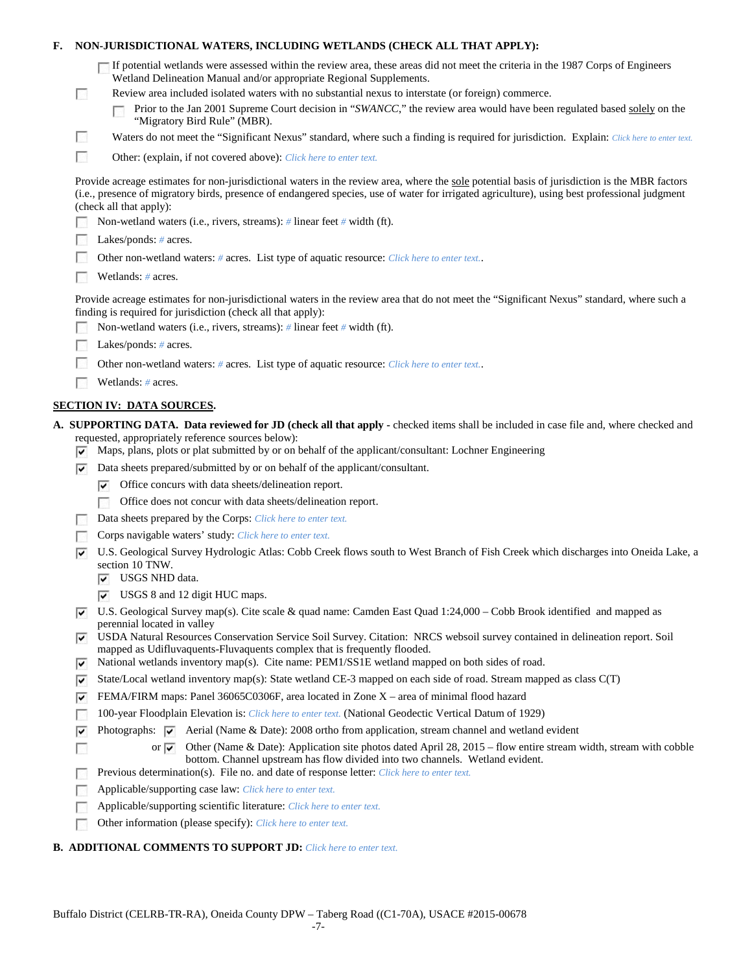# **F. NON-JURISDICTIONAL WATERS, INCLUDING WETLANDS (CHECK ALL THAT APPLY):**

|        | $\Box$ If potential wetlands were assessed within the review area, these areas did not meet the criteria in the 1987 Corps of Engineers                 |
|--------|---------------------------------------------------------------------------------------------------------------------------------------------------------|
|        | Wetland Delineation Manual and/or appropriate Regional Supplements.                                                                                     |
|        | Review area included isolated waters with no substantial nexus to interstate (or foreign) commerce.                                                     |
|        | Prior to the Jan 2001 Supreme Court decision in "SWANCC," the review area would have been regulated based solely on the<br>"Migratory Bird Rule" (MBR). |
| $\sim$ | Waters do not meet the "Significant Nexus" standard, where such a finding is required for jurisdiction. Explain: Click here to enter text.              |
|        |                                                                                                                                                         |

 $\sim$ Other: (explain, if not covered above): *Click here to enter text.*

Provide acreage estimates for non-jurisdictional waters in the review area, where the sole potential basis of jurisdiction is the MBR factors (i.e., presence of migratory birds, presence of endangered species, use of water for irrigated agriculture), using best professional judgment (check all that apply):

Non-wetland waters (i.e., rivers, streams): *#* linear feet *#* width (ft).

| Lakes/ponds: $#$ acres. |
|-------------------------|
|-------------------------|

- 200 Other non-wetland waters: *#* acres. List type of aquatic resource: *Click here to enter text.*.
- Wetlands: # acres.

Provide acreage estimates for non-jurisdictional waters in the review area that do not meet the "Significant Nexus" standard, where such a finding is required for jurisdiction (check all that apply):

- Е Non-wetland waters (i.e., rivers, streams): *#* linear feet *#* width (ft).
- Lakes/ponds: *#* acres. Е
- Other non-wetland waters: *#* acres. List type of aquatic resource: *Click here to enter text.*.
- Wetlands: # acres.

# **SECTION IV: DATA SOURCES.**

- **A. SUPPORTING DATA. Data reviewed for JD (check all that apply -** checked items shall be included in case file and, where checked and requested, appropriately reference sources below):
	- $\triangledown$  Maps, plans, plots or plat submitted by or on behalf of the applicant/consultant: Lochner Engineering
	- $\nabla$  Data sheets prepared/submitted by or on behalf of the applicant/consultant.
		- $\triangledown$  Office concurs with data sheets/delineation report.
		- Office does not concur with data sheets/delineation report.
		- Data sheets prepared by the Corps: *Click here to enter text.*
	- Corps navigable waters' study: *Click here to enter text.*
	- U.S. Geological Survey Hydrologic Atlas: Cobb Creek flows south to West Branch of Fish Creek which discharges into Oneida Lake, a section 10 TNW.
		- USGS NHD data.

г

- USGS 8 and 12 digit HUC maps.
- $\triangledown$  U.S. Geological Survey map(s). Cite scale & quad name: Camden East Quad 1:24,000 Cobb Brook identified and mapped as perennial located in valley
- USDA Natural Resources Conservation Service Soil Survey. Citation: NRCS websoil survey contained in delineation report. Soil mapped as Udifluvaquents-Fluvaquents complex that is frequently flooded.
- $\overline{v}$  National wetlands inventory map(s). Cite name: PEM1/SS1E wetland mapped on both sides of road.
- State/Local wetland inventory map(s): State wetland CE-3 mapped on each side of road. Stream mapped as class  $C(T)$
- FEMA/FIRM maps: Panel 36065C0306F, area located in Zone  $X$  area of minimal flood hazard
- 100-year Floodplain Elevation is: *Click here to enter text.* (National Geodectic Vertical Datum of 1929)
- Photographs:  $\blacktriangledown$  Aerial (Name & Date): 2008 ortho from application, stream channel and wetland evident ⊽
	- or  $\blacktriangledown$  Other (Name & Date): Application site photos dated April 28, 2015 flow entire stream width, stream with cobble bottom. Channel upstream has flow divided into two channels. Wetland evident.
- Previous determination(s). File no. and date of response letter: *Click here to enter text.* □
- Applicable/supporting case law: *Click here to enter text.*
- Applicable/supporting scientific literature: *Click here to enter text.* Г
- г Other information (please specify): *Click here to enter text.*

### **B. ADDITIONAL COMMENTS TO SUPPORT JD:** *Click here to enter text.*